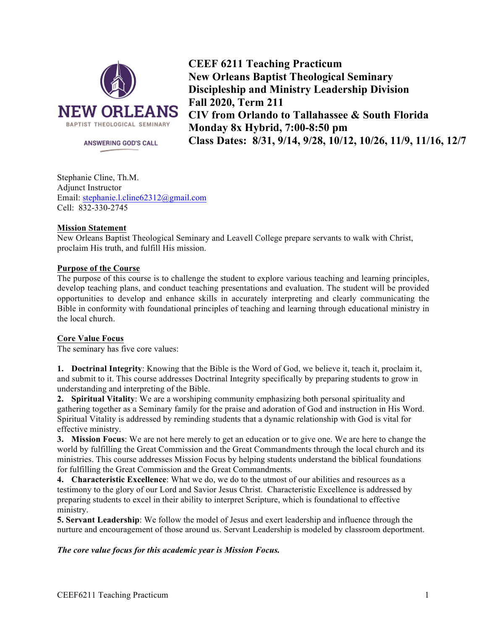

ANSWERING GOD'S CALL

**CEEF 6211 Teaching Practicum New Orleans Baptist Theological Seminary Discipleship and Ministry Leadership Division Fall 2020, Term 211 CIV from Orlando to Tallahassee & South Florida Monday 8x Hybrid, 7:00-8:50 pm Class Dates: 8/31, 9/14, 9/28, 10/12, 10/26, 11/9, 11/16, 12/7**

Stephanie Cline, Th.M. Adjunct Instructor Email: stephanie.l.cline62312@gmail.com Cell: 832-330-2745

### **Mission Statement**

New Orleans Baptist Theological Seminary and Leavell College prepare servants to walk with Christ, proclaim His truth, and fulfill His mission.

### **Purpose of the Course**

The purpose of this course is to challenge the student to explore various teaching and learning principles, develop teaching plans, and conduct teaching presentations and evaluation. The student will be provided opportunities to develop and enhance skills in accurately interpreting and clearly communicating the Bible in conformity with foundational principles of teaching and learning through educational ministry in the local church.

### **Core Value Focus**

The seminary has five core values:

**1. Doctrinal Integrity**: Knowing that the Bible is the Word of God, we believe it, teach it, proclaim it, and submit to it. This course addresses Doctrinal Integrity specifically by preparing students to grow in understanding and interpreting of the Bible.

**2. Spiritual Vitality**: We are a worshiping community emphasizing both personal spirituality and gathering together as a Seminary family for the praise and adoration of God and instruction in His Word. Spiritual Vitality is addressed by reminding students that a dynamic relationship with God is vital for effective ministry.

**3. Mission Focus**: We are not here merely to get an education or to give one. We are here to change the world by fulfilling the Great Commission and the Great Commandments through the local church and its ministries. This course addresses Mission Focus by helping students understand the biblical foundations for fulfilling the Great Commission and the Great Commandments.

**4. Characteristic Excellence**: What we do, we do to the utmost of our abilities and resources as a testimony to the glory of our Lord and Savior Jesus Christ. Characteristic Excellence is addressed by preparing students to excel in their ability to interpret Scripture, which is foundational to effective ministry.

**5. Servant Leadership**: We follow the model of Jesus and exert leadership and influence through the nurture and encouragement of those around us. Servant Leadership is modeled by classroom deportment.

### *The core value focus for this academic year is Mission Focus.*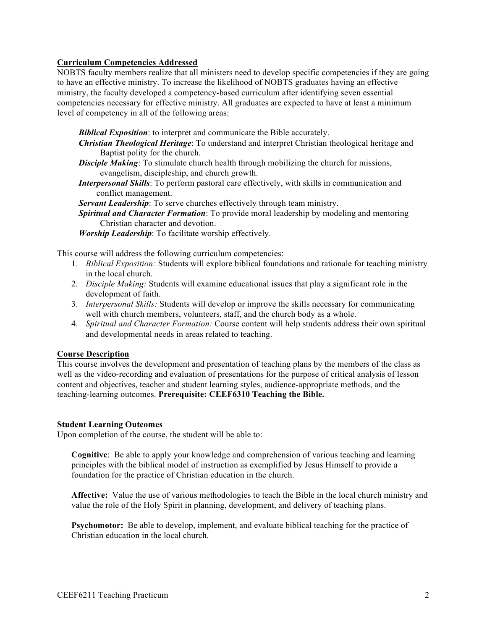### **Curriculum Competencies Addressed**

NOBTS faculty members realize that all ministers need to develop specific competencies if they are going to have an effective ministry. To increase the likelihood of NOBTS graduates having an effective ministry, the faculty developed a competency-based curriculum after identifying seven essential competencies necessary for effective ministry. All graduates are expected to have at least a minimum level of competency in all of the following areas:

*Biblical Exposition*: to interpret and communicate the Bible accurately.

- *Christian Theological Heritage*: To understand and interpret Christian theological heritage and Baptist polity for the church.
- **Disciple Making**: To stimulate church health through mobilizing the church for missions, evangelism, discipleship, and church growth.
- *Interpersonal Skills*: To perform pastoral care effectively, with skills in communication and conflict management.

*Servant Leadership*: To serve churches effectively through team ministry.

*Spiritual and Character Formation*: To provide moral leadership by modeling and mentoring Christian character and devotion.

*Worship Leadership*: To facilitate worship effectively.

This course will address the following curriculum competencies:

- 1. *Biblical Exposition:* Students will explore biblical foundations and rationale for teaching ministry in the local church.
- 2. *Disciple Making:* Students will examine educational issues that play a significant role in the development of faith.
- 3. *Interpersonal Skills:* Students will develop or improve the skills necessary for communicating well with church members, volunteers, staff, and the church body as a whole.
- 4. *Spiritual and Character Formation:* Course content will help students address their own spiritual and developmental needs in areas related to teaching.

### **Course Description**

This course involves the development and presentation of teaching plans by the members of the class as well as the video-recording and evaluation of presentations for the purpose of critical analysis of lesson content and objectives, teacher and student learning styles, audience-appropriate methods, and the teaching-learning outcomes. **Prerequisite: CEEF6310 Teaching the Bible.**

### **Student Learning Outcomes**

Upon completion of the course, the student will be able to:

**Cognitive**: Be able to apply your knowledge and comprehension of various teaching and learning principles with the biblical model of instruction as exemplified by Jesus Himself to provide a foundation for the practice of Christian education in the church.

**Affective:** Value the use of various methodologies to teach the Bible in the local church ministry and value the role of the Holy Spirit in planning, development, and delivery of teaching plans.

**Psychomotor:** Be able to develop, implement, and evaluate biblical teaching for the practice of Christian education in the local church.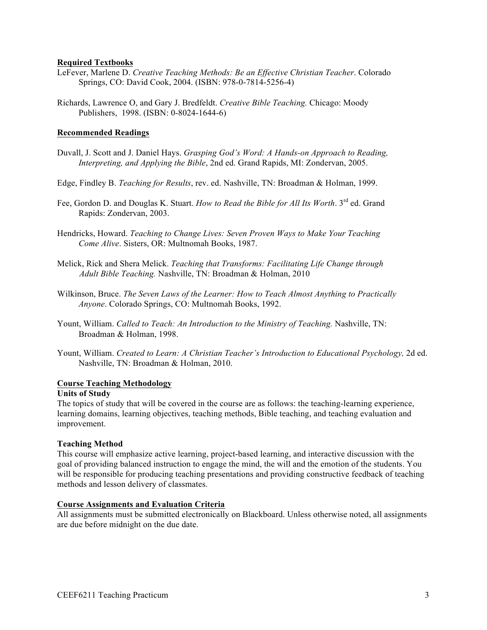### **Required Textbooks**

- LeFever, Marlene D. *Creative Teaching Methods: Be an Effective Christian Teacher*. Colorado Springs, CO: David Cook, 2004. (ISBN: 978-0-7814-5256-4)
- Richards, Lawrence O, and Gary J. Bredfeldt. *Creative Bible Teaching.* Chicago: Moody Publishers, 1998. (ISBN: 0-8024-1644-6)

### **Recommended Readings**

- Duvall, J. Scott and J. Daniel Hays. *Grasping God's Word: A Hands-on Approach to Reading, Interpreting, and Applying the Bible*, 2nd ed. Grand Rapids, MI: Zondervan, 2005.
- Edge, Findley B. *Teaching for Results*, rev. ed. Nashville, TN: Broadman & Holman, 1999.
- Fee, Gordon D. and Douglas K. Stuart. *How to Read the Bible for All Its Worth*. 3<sup>rd</sup> ed. Grand Rapids: Zondervan, 2003.
- Hendricks, Howard. *Teaching to Change Lives: Seven Proven Ways to Make Your Teaching Come Alive*. Sisters, OR: Multnomah Books, 1987.
- Melick, Rick and Shera Melick. *Teaching that Transforms: Facilitating Life Change through Adult Bible Teaching.* Nashville, TN: Broadman & Holman, 2010
- Wilkinson, Bruce. *The Seven Laws of the Learner: How to Teach Almost Anything to Practically Anyone*. Colorado Springs, CO: Multnomah Books, 1992.
- Yount, William. *Called to Teach: An Introduction to the Ministry of Teaching.* Nashville, TN: Broadman & Holman, 1998.
- Yount, William. *Created to Learn: A Christian Teacher's Introduction to Educational Psychology,* 2d ed. Nashville, TN: Broadman & Holman, 2010.

### **Course Teaching Methodology**

### **Units of Study**

The topics of study that will be covered in the course are as follows: the teaching-learning experience, learning domains, learning objectives, teaching methods, Bible teaching, and teaching evaluation and improvement.

### **Teaching Method**

This course will emphasize active learning, project-based learning, and interactive discussion with the goal of providing balanced instruction to engage the mind, the will and the emotion of the students. You will be responsible for producing teaching presentations and providing constructive feedback of teaching methods and lesson delivery of classmates.

### **Course Assignments and Evaluation Criteria**

All assignments must be submitted electronically on Blackboard. Unless otherwise noted, all assignments are due before midnight on the due date.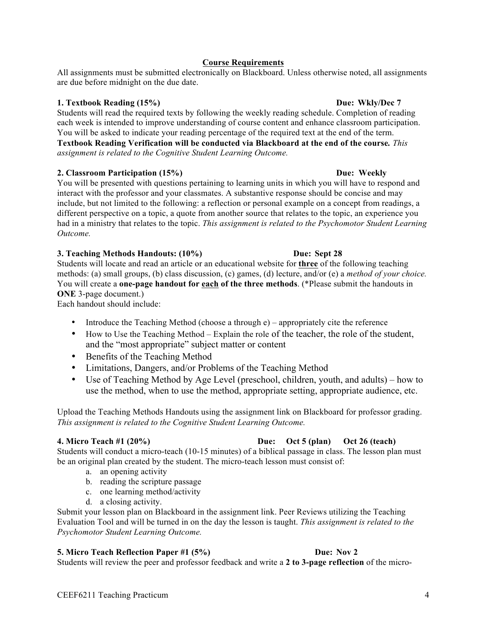# **Course Requirements**

All assignments must be submitted electronically on Blackboard. Unless otherwise noted, all assignments are due before midnight on the due date.

## **1. Textbook Reading (15%) Due: Wkly/Dec 7**

Students will read the required texts by following the weekly reading schedule. Completion of reading each week is intended to improve understanding of course content and enhance classroom participation. You will be asked to indicate your reading percentage of the required text at the end of the term. **Textbook Reading Verification will be conducted via Blackboard at the end of the course***. This assignment is related to the Cognitive Student Learning Outcome.*

### **2. Classroom Participation (15%) Due: Weekly**

You will be presented with questions pertaining to learning units in which you will have to respond and interact with the professor and your classmates. A substantive response should be concise and may include, but not limited to the following: a reflection or personal example on a concept from readings, a different perspective on a topic, a quote from another source that relates to the topic, an experience you had in a ministry that relates to the topic. *This assignment is related to the Psychomotor Student Learning Outcome.*

### **3. Teaching Methods Handouts: (10%) Due: Sept 28**

Students will locate and read an article or an educational website for **three** of the following teaching methods: (a) small groups, (b) class discussion, (c) games, (d) lecture, and/or (e) a *method of your choice.*  You will create a **one-page handout for each of the three methods**. (\*Please submit the handouts in **ONE** 3-page document.)

Each handout should include:

- Introduce the Teaching Method (choose a through e) appropriately cite the reference
- How to Use the Teaching Method Explain the role of the teacher, the role of the student, and the "most appropriate" subject matter or content
- Benefits of the Teaching Method
- Limitations, Dangers, and/or Problems of the Teaching Method
- Use of Teaching Method by Age Level (preschool, children, youth, and adults) how to use the method, when to use the method, appropriate setting, appropriate audience, etc.

Upload the Teaching Methods Handouts using the assignment link on Blackboard for professor grading. *This assignment is related to the Cognitive Student Learning Outcome.* 

### **4. Micro Teach #1 (20%) Due: Oct 5 (plan) Oct 26 (teach)**

Students will conduct a micro-teach (10-15 minutes) of a biblical passage in class. The lesson plan must be an original plan created by the student. The micro-teach lesson must consist of:

- a. an opening activity
- b. reading the scripture passage
- c. one learning method/activity
- d. a closing activity.

Submit your lesson plan on Blackboard in the assignment link. Peer Reviews utilizing the Teaching Evaluation Tool and will be turned in on the day the lesson is taught. *This assignment is related to the Psychomotor Student Learning Outcome.*

# **5. Micro Teach Reflection Paper #1 (5%) Due: Nov 2**

Students will review the peer and professor feedback and write a **2 to 3-page reflection** of the micro-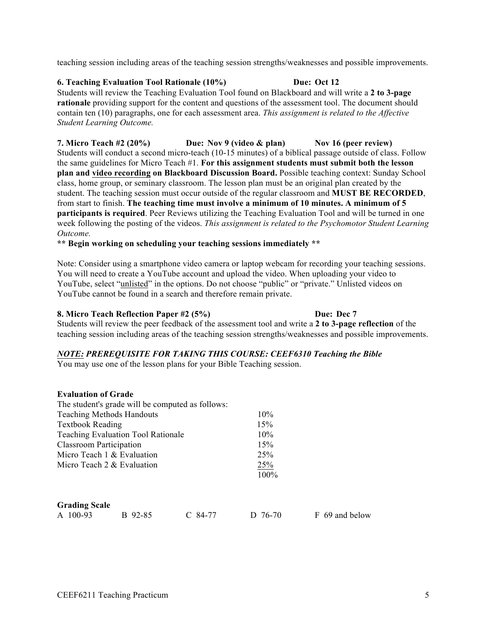teaching session including areas of the teaching session strengths/weaknesses and possible improvements.

**6. Teaching Evaluation Tool Rationale (10%) Due: Oct 12**

Students will review the Teaching Evaluation Tool found on Blackboard and will write a **2 to 3-page rationale** providing support for the content and questions of the assessment tool. The document should contain ten (10) paragraphs, one for each assessment area. *This assignment is related to the Affective Student Learning Outcome.*

**7. Micro Teach #2 (20%) Due: Nov 9 (video & plan) Nov 16 (peer review)** Students will conduct a second micro-teach (10-15 minutes) of a biblical passage outside of class. Follow the same guidelines for Micro Teach #1. **For this assignment students must submit both the lesson plan and video recording on Blackboard Discussion Board.** Possible teaching context: Sunday School class, home group, or seminary classroom. The lesson plan must be an original plan created by the student. The teaching session must occur outside of the regular classroom and **MUST BE RECORDED**, from start to finish. **The teaching time must involve a minimum of 10 minutes. A minimum of 5 participants is required**. Peer Reviews utilizing the Teaching Evaluation Tool and will be turned in one week following the posting of the videos. *This assignment is related to the Psychomotor Student Learning Outcome.*

**\*\* Begin working on scheduling your teaching sessions immediately \*\***

Note: Consider using a smartphone video camera or laptop webcam for recording your teaching sessions. You will need to create a YouTube account and upload the video. When uploading your video to YouTube, select "unlisted" in the options. Do not choose "public" or "private." Unlisted videos on YouTube cannot be found in a search and therefore remain private.

# **8. Micro Teach Reflection Paper #2 (5%) Due: Dec 7**

Students will review the peer feedback of the assessment tool and write a **2 to 3-page reflection** of the teaching session including areas of the teaching session strengths/weaknesses and possible improvements.

# *NOTE: PREREQUISITE FOR TAKING THIS COURSE: CEEF6310 Teaching the Bible*

You may use one of the lesson plans for your Bible Teaching session.

### **Evaluation of Grade**

|                                  |                                           | The student's grade will be computed as follows: |            |                |
|----------------------------------|-------------------------------------------|--------------------------------------------------|------------|----------------|
| <b>Teaching Methods Handouts</b> |                                           |                                                  | $10\%$     |                |
| <b>Textbook Reading</b>          |                                           | 15%                                              |            |                |
|                                  | <b>Teaching Evaluation Tool Rationale</b> | $10\%$                                           |            |                |
| <b>Classroom Participation</b>   |                                           |                                                  | 15%        |                |
| Micro Teach 1 & Evaluation       |                                           |                                                  | <b>25%</b> |                |
| Micro Teach 2 & Evaluation       |                                           |                                                  | <b>25%</b> |                |
|                                  |                                           |                                                  | 100%       |                |
|                                  |                                           |                                                  |            |                |
| <b>Grading Scale</b>             |                                           |                                                  |            |                |
| A 100-93                         | B 92-85                                   | $C$ 84-77                                        | D 76-70    | F 69 and below |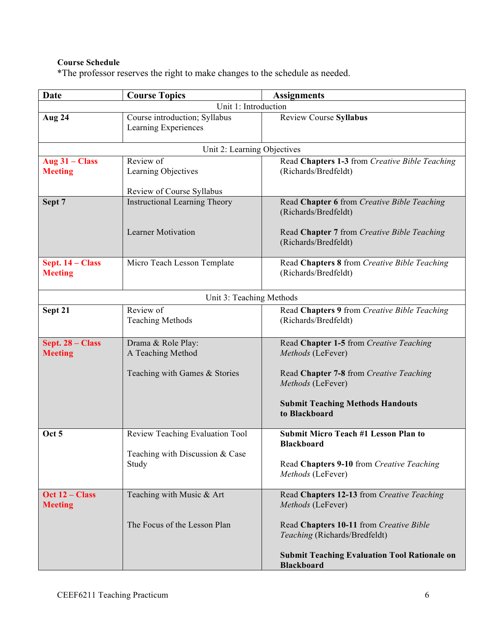# **Course Schedule**

\*The professor reserves the right to make changes to the schedule as needed.

| Date                        | <b>Course Topics</b>                                  | <b>Assignments</b>                                                       |  |  |  |  |
|-----------------------------|-------------------------------------------------------|--------------------------------------------------------------------------|--|--|--|--|
|                             | Unit 1: Introduction                                  |                                                                          |  |  |  |  |
| Aug 24                      | Course introduction; Syllabus<br>Learning Experiences | <b>Review Course Syllabus</b>                                            |  |  |  |  |
| Unit 2: Learning Objectives |                                                       |                                                                          |  |  |  |  |
| Aug $31 - Class$            | Review of                                             | Read Chapters 1-3 from Creative Bible Teaching                           |  |  |  |  |
| <b>Meeting</b>              | Learning Objectives                                   | (Richards/Bredfeldt)                                                     |  |  |  |  |
|                             | Review of Course Syllabus                             |                                                                          |  |  |  |  |
| Sept 7                      | <b>Instructional Learning Theory</b>                  | Read Chapter 6 from Creative Bible Teaching                              |  |  |  |  |
|                             |                                                       | (Richards/Bredfeldt)                                                     |  |  |  |  |
|                             |                                                       |                                                                          |  |  |  |  |
|                             | <b>Learner Motivation</b>                             | Read Chapter 7 from Creative Bible Teaching<br>(Richards/Bredfeldt)      |  |  |  |  |
|                             |                                                       |                                                                          |  |  |  |  |
| Sept. 14 – Class            | Micro Teach Lesson Template                           | Read Chapters 8 from Creative Bible Teaching                             |  |  |  |  |
| <b>Meeting</b>              |                                                       | (Richards/Bredfeldt)                                                     |  |  |  |  |
|                             |                                                       |                                                                          |  |  |  |  |
|                             | Unit 3: Teaching Methods                              |                                                                          |  |  |  |  |
| Sept 21                     | Review of                                             | Read Chapters 9 from Creative Bible Teaching                             |  |  |  |  |
|                             | <b>Teaching Methods</b>                               | (Richards/Bredfeldt)                                                     |  |  |  |  |
| Sept. 28 - Class            | Drama & Role Play:                                    | Read Chapter 1-5 from Creative Teaching                                  |  |  |  |  |
| <b>Meeting</b>              | A Teaching Method                                     | Methods (LeFever)                                                        |  |  |  |  |
|                             |                                                       |                                                                          |  |  |  |  |
|                             | Teaching with Games & Stories                         | Read Chapter 7-8 from Creative Teaching                                  |  |  |  |  |
|                             |                                                       | Methods (LeFever)                                                        |  |  |  |  |
|                             |                                                       | <b>Submit Teaching Methods Handouts</b>                                  |  |  |  |  |
|                             |                                                       | to Blackboard                                                            |  |  |  |  |
| Oct 5                       | Review Teaching Evaluation Tool                       | <b>Submit Micro Teach #1 Lesson Plan to</b>                              |  |  |  |  |
|                             |                                                       | <b>Blackboard</b>                                                        |  |  |  |  |
|                             | Teaching with Discussion & Case                       |                                                                          |  |  |  |  |
|                             | Study                                                 | Read Chapters 9-10 from Creative Teaching                                |  |  |  |  |
|                             |                                                       | Methods (LeFever)                                                        |  |  |  |  |
| Oct 12 - Class              | Teaching with Music & Art                             | Read Chapters 12-13 from Creative Teaching                               |  |  |  |  |
| <b>Meeting</b>              |                                                       | Methods (LeFever)                                                        |  |  |  |  |
|                             |                                                       |                                                                          |  |  |  |  |
|                             | The Focus of the Lesson Plan                          | Read Chapters 10-11 from Creative Bible<br>Teaching (Richards/Bredfeldt) |  |  |  |  |
|                             |                                                       |                                                                          |  |  |  |  |
|                             |                                                       | <b>Submit Teaching Evaluation Tool Rationale on</b>                      |  |  |  |  |
|                             |                                                       | <b>Blackboard</b>                                                        |  |  |  |  |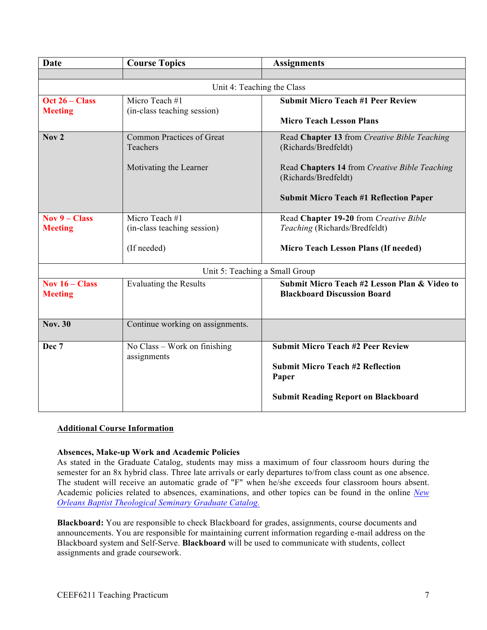| <b>Date</b>      | <b>Course Topics</b>             | <b>Assignments</b>                            |  |
|------------------|----------------------------------|-----------------------------------------------|--|
|                  |                                  |                                               |  |
|                  | Unit 4: Teaching the Class       |                                               |  |
| Oct 26 – Class   | Micro Teach #1                   | <b>Submit Micro Teach #1 Peer Review</b>      |  |
| <b>Meeting</b>   | (in-class teaching session)      |                                               |  |
|                  |                                  | <b>Micro Teach Lesson Plans</b>               |  |
| Nov <sub>2</sub> | <b>Common Practices of Great</b> | Read Chapter 13 from Creative Bible Teaching  |  |
|                  | Teachers                         | (Richards/Bredfeldt)                          |  |
|                  | Motivating the Learner           | Read Chapters 14 from Creative Bible Teaching |  |
|                  |                                  | (Richards/Bredfeldt)                          |  |
|                  |                                  |                                               |  |
|                  |                                  | <b>Submit Micro Teach #1 Reflection Paper</b> |  |
| Nov $9$ – Class  | Micro Teach #1                   | Read Chapter 19-20 from Creative Bible        |  |
| <b>Meeting</b>   | (in-class teaching session)      | Teaching (Richards/Bredfeldt)                 |  |
|                  |                                  |                                               |  |
|                  | (If needed)                      | Micro Teach Lesson Plans (If needed)          |  |
|                  | Unit 5: Teaching a Small Group   |                                               |  |
| Nov $16 - Class$ | <b>Evaluating the Results</b>    | Submit Micro Teach #2 Lesson Plan & Video to  |  |
| <b>Meeting</b>   |                                  | <b>Blackboard Discussion Board</b>            |  |
|                  |                                  |                                               |  |
| <b>Nov. 30</b>   | Continue working on assignments. |                                               |  |
|                  |                                  |                                               |  |
| Dec 7            | No Class - Work on finishing     | <b>Submit Micro Teach #2 Peer Review</b>      |  |
|                  | assignments                      | <b>Submit Micro Teach #2 Reflection</b>       |  |
|                  |                                  | Paper                                         |  |
|                  |                                  |                                               |  |
|                  |                                  | <b>Submit Reading Report on Blackboard</b>    |  |
|                  |                                  |                                               |  |

# **Additional Course Information**

### **Absences, Make-up Work and Academic Policies**

As stated in the Graduate Catalog, students may miss a maximum of four classroom hours during the semester for an 8x hybrid class. Three late arrivals or early departures to/from class count as one absence. The student will receive an automatic grade of "F" when he/she exceeds four classroom hours absent. Academic policies related to absences, examinations, and other topics can be found in the online *New Orleans Baptist Theological Seminary Graduate Catalog.*

**Blackboard:** You are responsible to check Blackboard for grades, assignments, course documents and announcements. You are responsible for maintaining current information regarding e-mail address on the Blackboard system and Self-Serve. **Blackboard** will be used to communicate with students, collect assignments and grade coursework.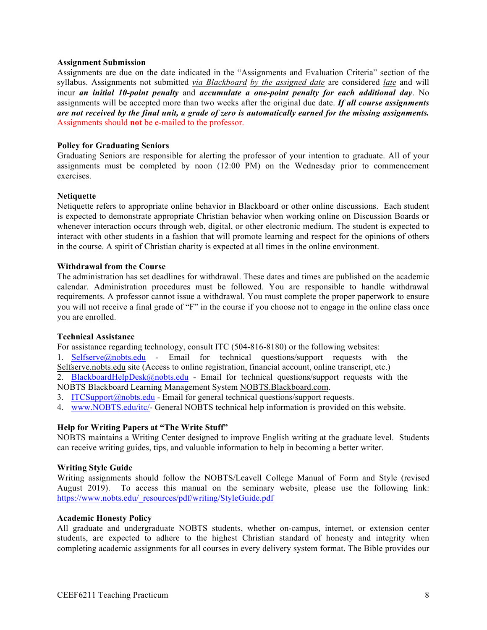### **Assignment Submission**

Assignments are due on the date indicated in the "Assignments and Evaluation Criteria" section of the syllabus. Assignments not submitted *via Blackboard by the assigned date* are considered *late* and will incur *an initial 10-point penalty* and *accumulate a one-point penalty for each additional day*. No assignments will be accepted more than two weeks after the original due date. *If all course assignments are not received by the final unit, a grade of zero is automatically earned for the missing assignments.* Assignments should **not** be e-mailed to the professor.

### **Policy for Graduating Seniors**

Graduating Seniors are responsible for alerting the professor of your intention to graduate. All of your assignments must be completed by noon (12:00 PM) on the Wednesday prior to commencement exercises.

### **Netiquette**

Netiquette refers to appropriate online behavior in Blackboard or other online discussions. Each student is expected to demonstrate appropriate Christian behavior when working online on Discussion Boards or whenever interaction occurs through web, digital, or other electronic medium. The student is expected to interact with other students in a fashion that will promote learning and respect for the opinions of others in the course. A spirit of Christian charity is expected at all times in the online environment.

### **Withdrawal from the Course**

The administration has set deadlines for withdrawal. These dates and times are published on the academic calendar. Administration procedures must be followed. You are responsible to handle withdrawal requirements. A professor cannot issue a withdrawal. You must complete the proper paperwork to ensure you will not receive a final grade of "F" in the course if you choose not to engage in the online class once you are enrolled.

### **Technical Assistance**

For assistance regarding technology, consult ITC (504-816-8180) or the following websites:

1. Selfserve@nobts.edu - Email for technical questions/support requests with the Selfserve.nobts.edu site (Access to online registration, financial account, online transcript, etc.)

2. BlackboardHelpDesk@nobts.edu - Email for technical questions/support requests with the NOBTS Blackboard Learning Management System NOBTS.Blackboard.com.

- 3. ITCSupport@nobts.edu Email for general technical questions/support requests.
- 4. www.NOBTS.edu/itc/- General NOBTS technical help information is provided on this website.

### **Help for Writing Papers at "The Write Stuff"**

NOBTS maintains a Writing Center designed to improve English writing at the graduate level. Students can receive writing guides, tips, and valuable information to help in becoming a better writer.

### **Writing Style Guide**

Writing assignments should follow the NOBTS/Leavell College Manual of Form and Style (revised August 2019). To access this manual on the seminary website, please use the following link: https://www.nobts.edu/\_resources/pdf/writing/StyleGuide.pdf

### **Academic Honesty Policy**

All graduate and undergraduate NOBTS students, whether on-campus, internet, or extension center students, are expected to adhere to the highest Christian standard of honesty and integrity when completing academic assignments for all courses in every delivery system format. The Bible provides our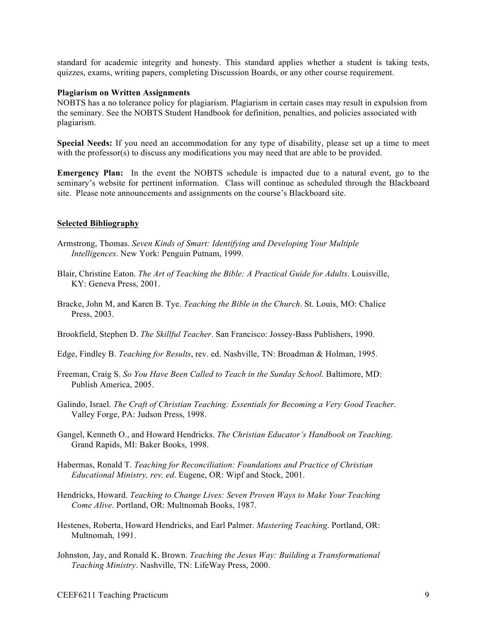standard for academic integrity and honesty. This standard applies whether a student is taking tests, quizzes, exams, writing papers, completing Discussion Boards, or any other course requirement.

### **Plagiarism on Written Assignments**

NOBTS has a no tolerance policy for plagiarism. Plagiarism in certain cases may result in expulsion from the seminary. See the NOBTS Student Handbook for definition, penalties, and policies associated with plagiarism.

**Special Needs:** If you need an accommodation for any type of disability, please set up a time to meet with the professor(s) to discuss any modifications you may need that are able to be provided.

**Emergency Plan:** In the event the NOBTS schedule is impacted due to a natural event, go to the seminary's website for pertinent information. Class will continue as scheduled through the Blackboard site. Please note announcements and assignments on the course's Blackboard site.

### **Selected Bibliography**

- Armstrong, Thomas. *Seven Kinds of Smart: Identifying and Developing Your Multiple Intelligences*. New York: Penguin Putnam, 1999.
- Blair, Christine Eaton. *The Art of Teaching the Bible: A Practical Guide for Adults*. Louisville, KY: Geneva Press, 2001.
- Bracke, John M, and Karen B. Tye. *Teaching the Bible in the Church*. St. Louis, MO: Chalice Press, 2003.

Brookfield, Stephen D. *The Skillful Teacher*. San Francisco: Jossey-Bass Publishers, 1990.

- Edge, Findley B. *Teaching for Results*, rev. ed. Nashville, TN: Broadman & Holman, 1995.
- Freeman, Craig S. *So You Have Been Called to Teach in the Sunday School*. Baltimore, MD: Publish America, 2005.
- Galindo, Israel. *The Craft of Christian Teaching: Essentials for Becoming a Very Good Teacher*. Valley Forge, PA: Judson Press, 1998.
- Gangel, Kenneth O., and Howard Hendricks. *The Christian Educator's Handbook on Teaching*. Grand Rapids, MI: Baker Books, 1998.
- Habermas, Ronald T. *Teaching for Reconciliation: Foundations and Practice of Christian Educational Ministry, rev. ed*. Eugene, OR: Wipf and Stock, 2001.
- Hendricks, Howard. *Teaching to Change Lives: Seven Proven Ways to Make Your Teaching Come Alive*. Portland, OR: Multnomah Books, 1987.
- Hestenes, Roberta, Howard Hendricks, and Earl Palmer. *Mastering Teaching*. Portland, OR: Multnomah, 1991.
- Johnston, Jay, and Ronald K. Brown. *Teaching the Jesus Way: Building a Transformational Teaching Ministry*. Nashville, TN: LifeWay Press, 2000.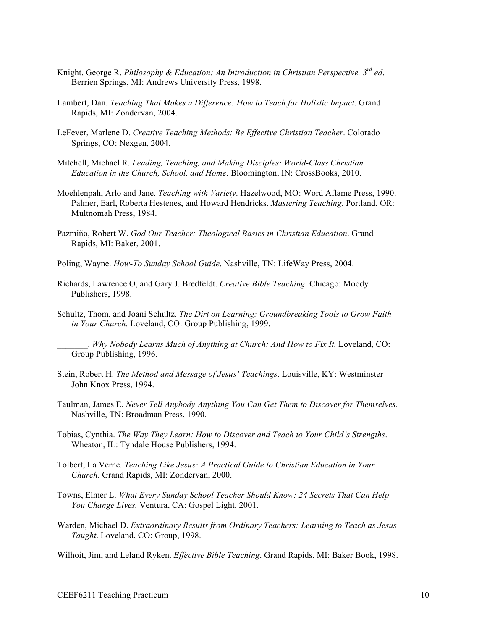- Knight, George R. *Philosophy & Education: An Introduction in Christian Perspective, 3rd ed*. Berrien Springs, MI: Andrews University Press, 1998.
- Lambert, Dan. *Teaching That Makes a Difference: How to Teach for Holistic Impact*. Grand Rapids, MI: Zondervan, 2004.
- LeFever, Marlene D. *Creative Teaching Methods: Be Effective Christian Teacher*. Colorado Springs, CO: Nexgen, 2004.
- Mitchell, Michael R. *Leading, Teaching, and Making Disciples: World-Class Christian Education in the Church, School, and Home*. Bloomington, IN: CrossBooks, 2010.
- Moehlenpah, Arlo and Jane. *Teaching with Variety*. Hazelwood, MO: Word Aflame Press, 1990. Palmer, Earl, Roberta Hestenes, and Howard Hendricks. *Mastering Teaching*. Portland, OR: Multnomah Press, 1984.
- Pazmiño, Robert W. *God Our Teacher: Theological Basics in Christian Education*. Grand Rapids, MI: Baker, 2001.
- Poling, Wayne. *How-To Sunday School Guide*. Nashville, TN: LifeWay Press, 2004.
- Richards, Lawrence O, and Gary J. Bredfeldt. *Creative Bible Teaching.* Chicago: Moody Publishers, 1998.
- Schultz, Thom, and Joani Schultz. *The Dirt on Learning: Groundbreaking Tools to Grow Faith in Your Church.* Loveland, CO: Group Publishing, 1999.

\_\_\_\_\_\_\_. *Why Nobody Learns Much of Anything at Church: And How to Fix It.* Loveland, CO: Group Publishing, 1996.

- Stein, Robert H. *The Method and Message of Jesus' Teachings*. Louisville, KY: Westminster John Knox Press, 1994.
- Taulman, James E. *Never Tell Anybody Anything You Can Get Them to Discover for Themselves.* Nashville, TN: Broadman Press, 1990.
- Tobias, Cynthia. *The Way They Learn: How to Discover and Teach to Your Child's Strengths*. Wheaton, IL: Tyndale House Publishers, 1994.
- Tolbert, La Verne. *Teaching Like Jesus: A Practical Guide to Christian Education in Your Church*. Grand Rapids, MI: Zondervan, 2000.
- Towns, Elmer L. *What Every Sunday School Teacher Should Know: 24 Secrets That Can Help You Change Lives.* Ventura, CA: Gospel Light, 2001.
- Warden, Michael D. *Extraordinary Results from Ordinary Teachers: Learning to Teach as Jesus Taught*. Loveland, CO: Group, 1998.
- Wilhoit, Jim, and Leland Ryken. *Effective Bible Teaching*. Grand Rapids, MI: Baker Book, 1998.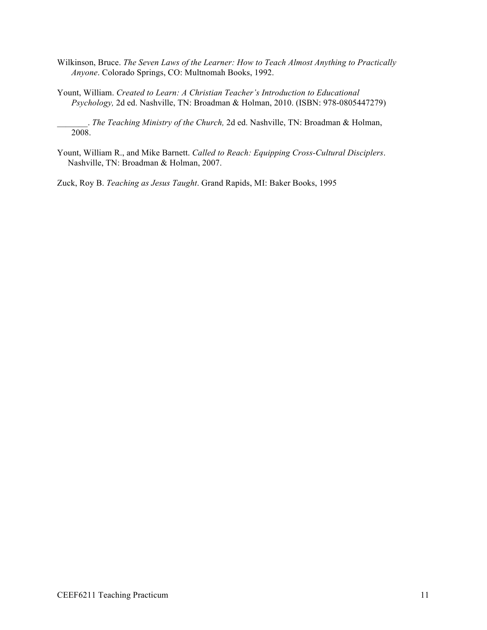- Wilkinson, Bruce. *The Seven Laws of the Learner: How to Teach Almost Anything to Practically Anyone*. Colorado Springs, CO: Multnomah Books, 1992.
- Yount, William. *Created to Learn: A Christian Teacher's Introduction to Educational Psychology,* 2d ed. Nashville, TN: Broadman & Holman, 2010. (ISBN: 978-0805447279)

\_\_\_\_\_\_\_. *The Teaching Ministry of the Church,* 2d ed. Nashville, TN: Broadman & Holman, 2008.

Yount, William R., and Mike Barnett. *Called to Reach: Equipping Cross-Cultural Disciplers*. Nashville, TN: Broadman & Holman, 2007.

Zuck, Roy B. *Teaching as Jesus Taught*. Grand Rapids, MI: Baker Books, 1995